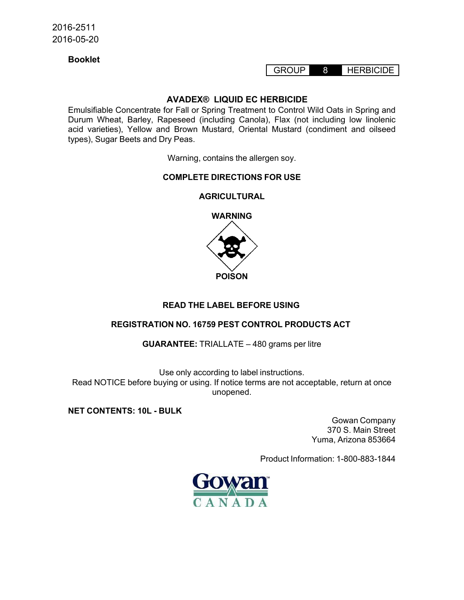## **Booklet**

## GROUP 8 HERBICIDE

### **AVADEX® LIQUID EC HERBICIDE**

Emulsifiable Concentrate for Fall or Spring Treatment to Control Wild Oats in Spring and Durum Wheat, Barley, Rapeseed (including Canola), Flax (not including low linolenic acid varieties), Yellow and Brown Mustard, Oriental Mustard (condiment and oilseed types), Sugar Beets and Dry Peas.

Warning, contains the allergen soy.

### **COMPLETE DIRECTIONS FOR USE**

### **AGRICULTURAL**



## **READ THE LABEL BEFORE USING**

## **REGISTRATION NO. 16759 PEST CONTROL PRODUCTS ACT**

**GUARANTEE:** TRIALLATE – 480 grams per litre

Use only according to label instructions. Read NOTICE before buying or using. If notice terms are not acceptable, return at once unopened.

**NET CONTENTS: 10L - BULK**

Gowan Company 370 S. Main Street Yuma, Arizona 853664

Product Information: 1-800-883-1844

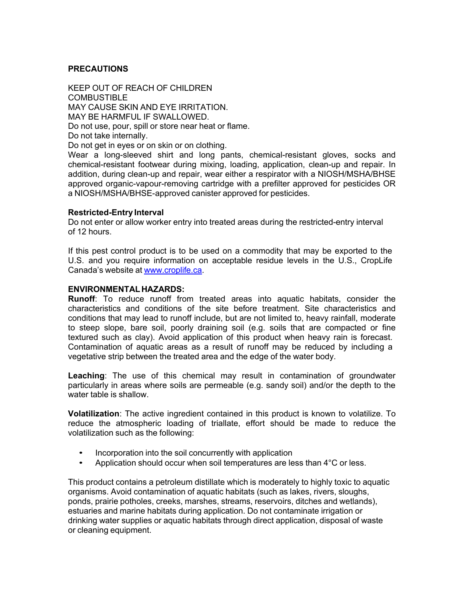## **PRECAUTIONS**

KEEP OUT OF REACH OF CHILDREN COMBUSTIBLE MAY CAUSE SKIN AND EYE IRRITATION. MAY BE HARMFUL IF SWALLOWED. Do not use, pour, spill or store near heat or flame. Do not take internally. Do not get in eyes or on skin or on clothing. Wear a long-sleeved shirt and long pants, chemical-resistant gloves, socks and

chemical-resistant footwear during mixing, loading, application, clean-up and repair. In addition, during clean-up and repair, wear either a respirator with a NIOSH/MSHA/BHSE approved organic-vapour-removing cartridge with a prefilter approved for pesticides OR a NIOSH/MSHA/BHSE-approved canister approved for pesticides.

#### **Restricted-Entry Interval**

Do not enter or allow worker entry into treated areas during the restricted-entry interval of 12 hours.

If this pest control product is to be used on a commodity that may be exported to the U.S. and you require information on acceptable residue levels in the U.S., CropLife Canada's website at www.croplife.ca.

#### **ENVIRONMENTALHAZARDS:**

**Runoff**: To reduce runoff from treated areas into aquatic habitats, consider the characteristics and conditions of the site before treatment. Site characteristics and conditions that may lead to runoff include, but are not limited to, heavy rainfall, moderate to steep slope, bare soil, poorly draining soil (e.g. soils that are compacted or fine textured such as clay). Avoid application of this product when heavy rain is forecast. Contamination of aquatic areas as a result of runoff may be reduced by including a vegetative strip between the treated area and the edge of the water body.

**Leaching**: The use of this chemical may result in contamination of groundwater particularly in areas where soils are permeable (e.g. sandy soil) and/or the depth to the water table is shallow.

**Volatilization**: The active ingredient contained in this product is known to volatilize. To reduce the atmospheric loading of triallate, effort should be made to reduce the volatilization such as the following:

- Incorporation into the soil concurrently with application
- Application should occur when soil temperatures are less than 4°C or less.

This product contains a petroleum distillate which is moderately to highly toxic to aquatic organisms. Avoid contamination of aquatic habitats (such as lakes, rivers, sloughs, ponds, prairie potholes, creeks, marshes, streams, reservoirs, ditches and wetlands), estuaries and marine habitats during application. Do not contaminate irrigation or drinking water supplies or aquatic habitats through direct application, disposal of waste or cleaning equipment.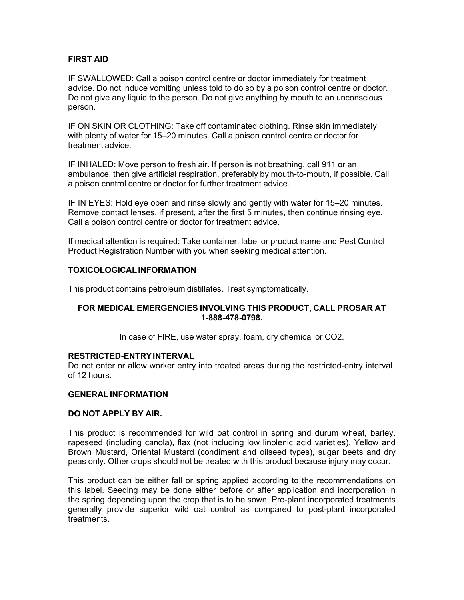## **FIRST AID**

IF SWALLOWED: Call a poison control centre or doctor immediately for treatment advice. Do not induce vomiting unless told to do so by a poison control centre or doctor. Do not give any liquid to the person. Do not give anything by mouth to an unconscious person.

IF ON SKIN OR CLOTHING: Take off contaminated clothing. Rinse skin immediately with plenty of water for 15–20 minutes. Call a poison control centre or doctor for treatment advice.

IF INHALED: Move person to fresh air. If person is not breathing, call 911 or an ambulance, then give artificial respiration, preferably by mouth-to-mouth, if possible. Call a poison control centre or doctor for further treatment advice.

IF IN EYES: Hold eye open and rinse slowly and gently with water for 15–20 minutes. Remove contact lenses, if present, after the first 5 minutes, then continue rinsing eye. Call a poison control centre or doctor for treatment advice.

If medical attention is required: Take container, label or product name and Pest Control Product Registration Number with you when seeking medical attention.

### **TOXICOLOGICALINFORMATION**

This product contains petroleum distillates. Treat symptomatically.

### **FOR MEDICAL EMERGENCIES INVOLVING THIS PRODUCT, CALL PROSAR AT 1-888-478-0798.**

In case of FIRE, use water spray, foam, dry chemical or CO2.

### **RESTRICTED-ENTRYINTERVAL**

Do not enter or allow worker entry into treated areas during the restricted-entry interval of 12 hours.

### **GENERAL INFORMATION**

### **DO NOT APPLY BY AIR.**

This product is recommended for wild oat control in spring and durum wheat, barley, rapeseed (including canola), flax (not including low linolenic acid varieties), Yellow and Brown Mustard, Oriental Mustard (condiment and oilseed types), sugar beets and dry peas only. Other crops should not be treated with this product because injury may occur.

This product can be either fall or spring applied according to the recommendations on this label. Seeding may be done either before or after application and incorporation in the spring depending upon the crop that is to be sown. Pre-plant incorporated treatments generally provide superior wild oat control as compared to post-plant incorporated treatments.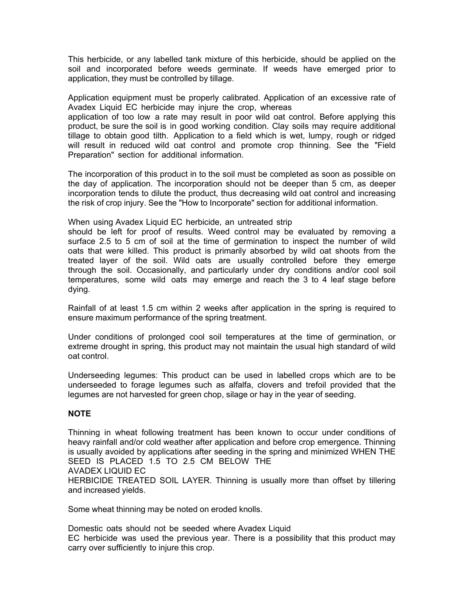This herbicide, or any labelled tank mixture of this herbicide, should be applied on the soil and incorporated before weeds germinate. If weeds have emerged prior to application, they must be controlled by tillage.

Application equipment must be properly calibrated. Application of an excessive rate of Avadex Liquid EC herbicide may injure the crop, whereas

application of too low a rate may result in poor wild oat control. Before applying this product, be sure the soil is in good working condition. Clay soils may require additional tillage to obtain good tilth. Application to a field which is wet, lumpy, rough or ridged will result in reduced wild oat control and promote crop thinning. See the "Field Preparation" section for additional information.

The incorporation of this product in to the soil must be completed as soon as possible on the day of application. The incorporation should not be deeper than 5 cm, as deeper incorporation tends to dilute the product, thus decreasing wild oat control and increasing the risk of crop injury. See the "How to Incorporate" section for additional information.

When using Avadex Liquid EC herbicide, an untreated strip

should be left for proof of results. Weed control may be evaluated by removing a surface 2.5 to 5 cm of soil at the time of germination to inspect the number of wild oats that were killed. This product is primarily absorbed by wild oat shoots from the treated layer of the soil. Wild oats are usually controlled before they emerge through the soil. Occasionally, and particularly under dry conditions and/or cool soil temperatures, some wild oats may emerge and reach the 3 to 4 leaf stage before dying.

Rainfall of at least 1.5 cm within 2 weeks after application in the spring is required to ensure maximum performance of the spring treatment.

Under conditions of prolonged cool soil temperatures at the time of germination, or extreme drought in spring, this product may not maintain the usual high standard of wild oat control.

Underseeding legumes: This product can be used in labelled crops which are to be underseeded to forage legumes such as alfalfa, clovers and trefoil provided that the legumes are not harvested for green chop, silage or hay in the year of seeding.

## **NOTE**

Thinning in wheat following treatment has been known to occur under conditions of heavy rainfall and/or cold weather after application and before crop emergence. Thinning is usually avoided by applications after seeding in the spring and minimized WHEN THE SEED IS PLACED 1.5 TO 2.5 CM BELOW THE AVADEX LIQUID EC

HERBICIDE TREATED SOIL LAYER. Thinning is usually more than offset by tillering and increased yields.

Some wheat thinning may be noted on eroded knolls.

Domestic oats should not be seeded where Avadex Liquid EC herbicide was used the previous year. There is a possibility that this product may carry over sufficiently to injure this crop.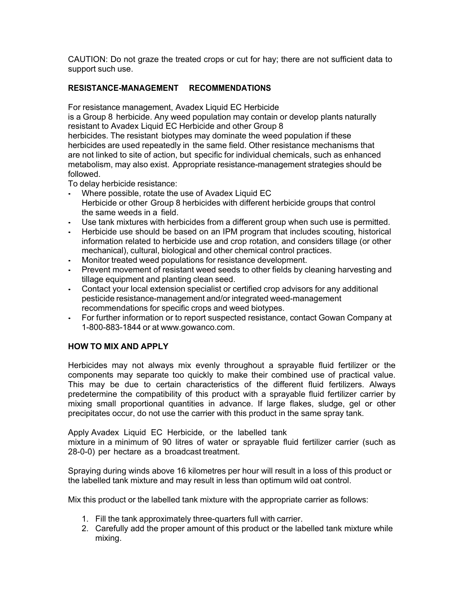CAUTION: Do not graze the treated crops or cut for hay; there are not sufficient data to support such use.

# **RESISTANCE-MANAGEMENT RECOMMENDATIONS**

For resistance management, Avadex Liquid EC Herbicide

is a Group 8 herbicide. Any weed population may contain or develop plants naturally resistant to Avadex Liquid EC Herbicide and other Group 8

herbicides. The resistant biotypes may dominate the weed population if these herbicides are used repeatedly in the same field. Other resistance mechanisms that are not linked to site of action, but specific for individual chemicals, such as enhanced metabolism, may also exist. Appropriate resistance-management strategies should be followed.

To delay herbicide resistance:

- Where possible, rotate the use of Avadex Liquid EC Herbicide or other Group 8 herbicides with different herbicide groups that control the same weeds in a field.
- Use tank mixtures with herbicides from a different group when such use is permitted.
- Herbicide use should be based on an IPM program that includes scouting, historical information related to herbicide use and crop rotation, and considers tillage (or other mechanical), cultural, biological and other chemical control practices.
- Monitor treated weed populations for resistance development.
- Prevent movement of resistant weed seeds to other fields by cleaning harvesting and tillage equipment and planting clean seed.
- Contact your local extension specialist or certified crop advisors for any additional pesticide resistance-management and/or integrated weed-management recommendations for specific crops and weed biotypes.
- For further information or to report suspected resistance, contact Gowan Company at 1-800-883-1844 or at www.gowanco.com.

## **HOW TO MIX AND APPLY**

Herbicides may not always mix evenly throughout a sprayable fluid fertilizer or the components may separate too quickly to make their combined use of practical value. This may be due to certain characteristics of the different fluid fertilizers. Always predetermine the compatibility of this product with a sprayable fluid fertilizer carrier by mixing small proportional quantities in advance. If large flakes, sludge, gel or other precipitates occur, do not use the carrier with this product in the same spray tank.

Apply Avadex Liquid EC Herbicide, or the labelled tank mixture in a minimum of 90 litres of water or sprayable fluid fertilizer carrier (such as 28-0-0) per hectare as a broadcast treatment.

Spraying during winds above 16 kilometres per hour will result in a loss of this product or the labelled tank mixture and may result in less than optimum wild oat control.

Mix this product or the labelled tank mixture with the appropriate carrier as follows:

- 1. Fill the tank approximately three-quarters full with carrier.
- 2. Carefully add the proper amount of this product or the labelled tank mixture while mixing.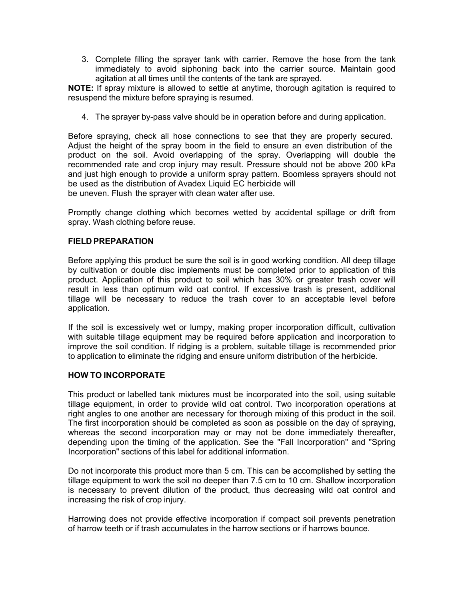3. Complete filling the sprayer tank with carrier. Remove the hose from the tank immediately to avoid siphoning back into the carrier source. Maintain good agitation at all times until the contents of the tank are sprayed.

**NOTE:** If spray mixture is allowed to settle at anytime, thorough agitation is required to resuspend the mixture before spraying is resumed.

4. The sprayer by-pass valve should be in operation before and during application.

Before spraying, check all hose connections to see that they are properly secured. Adjust the height of the spray boom in the field to ensure an even distribution of the product on the soil. Avoid overlapping of the spray. Overlapping will double the recommended rate and crop injury may result. Pressure should not be above 200 kPa and just high enough to provide a uniform spray pattern. Boomless sprayers should not be used as the distribution of Avadex Liquid EC herbicide will be uneven. Flush the sprayer with clean water after use.

Promptly change clothing which becomes wetted by accidental spillage or drift from spray. Wash clothing before reuse.

### **FIELD PREPARATION**

Before applying this product be sure the soil is in good working condition. All deep tillage by cultivation or double disc implements must be completed prior to application of this product. Application of this product to soil which has 30% or greater trash cover will result in less than optimum wild oat control. If excessive trash is present, additional tillage will be necessary to reduce the trash cover to an acceptable level before application.

If the soil is excessively wet or lumpy, making proper incorporation difficult, cultivation with suitable tillage equipment may be required before application and incorporation to improve the soil condition. If ridging is a problem, suitable tillage is recommended prior to application to eliminate the ridging and ensure uniform distribution of the herbicide.

### **HOW TO INCORPORATE**

This product or labelled tank mixtures must be incorporated into the soil, using suitable tillage equipment, in order to provide wild oat control. Two incorporation operations at right angles to one another are necessary for thorough mixing of this product in the soil. The first incorporation should be completed as soon as possible on the day of spraying, whereas the second incorporation may or may not be done immediately thereafter, depending upon the timing of the application. See the "Fall Incorporation" and "Spring Incorporation" sections of this label for additional information.

Do not incorporate this product more than 5 cm. This can be accomplished by setting the tillage equipment to work the soil no deeper than 7.5 cm to 10 cm. Shallow incorporation is necessary to prevent dilution of the product, thus decreasing wild oat control and increasing the risk of crop injury.

Harrowing does not provide effective incorporation if compact soil prevents penetration of harrow teeth or if trash accumulates in the harrow sections or if harrows bounce.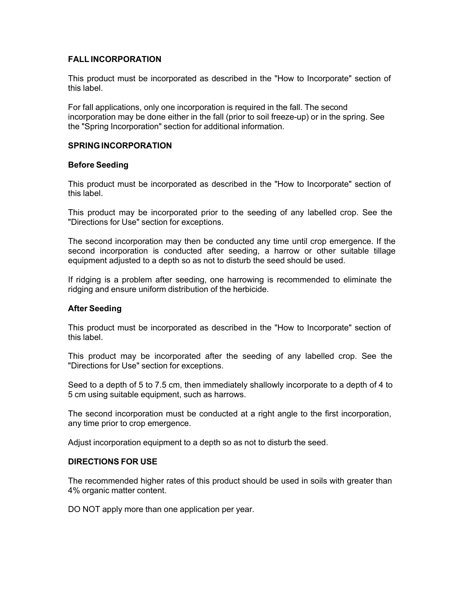## **FALL INCORPORATION**

This product must be incorporated as described in the "How to Incorporate" section of this label.

For fall applications, only one incorporation is required in the fall. The second incorporation may be done either in the fall (prior to soil freeze-up) or in the spring. See the "Spring Incorporation" section for additional information.

### **SPRINGINCORPORATION**

### **Before Seeding**

This product must be incorporated as described in the "How to Incorporate" section of this label.

This product may be incorporated prior to the seeding of any labelled crop. See the "Directions for Use" section for exceptions.

The second incorporation may then be conducted any time until crop emergence. If the second incorporation is conducted after seeding, a harrow or other suitable tillage equipment adjusted to a depth so as not to disturb the seed should be used.

If ridging is a problem after seeding, one harrowing is recommended to eliminate the ridging and ensure uniform distribution of the herbicide.

## **After Seeding**

This product must be incorporated as described in the "How to Incorporate" section of this label.

This product may be incorporated after the seeding of any labelled crop. See the "Directions for Use" section for exceptions.

Seed to a depth of 5 to 7.5 cm, then immediately shallowly incorporate to a depth of 4 to 5 cm using suitable equipment, such as harrows.

The second incorporation must be conducted at a right angle to the first incorporation, any time prior to crop emergence.

Adjust incorporation equipment to a depth so as not to disturb the seed.

### **DIRECTIONS FOR USE**

The recommended higher rates of this product should be used in soils with greater than 4% organic matter content.

DO NOT apply more than one application per year.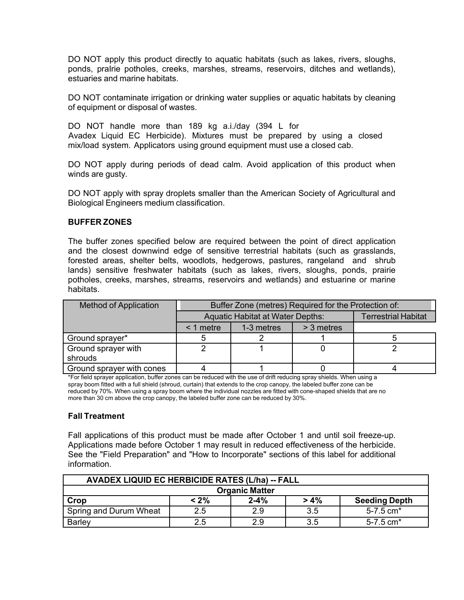DO NOT apply this product directly to aquatic habitats (such as lakes, rivers, sloughs, ponds, praIrie potholes, creeks, marshes, streams, reservoirs, ditches and wetlands), estuaries and marine habitats.

DO NOT contaminate irrigation or drinking water supplies or aquatic habitats by cleaning of equipment or disposal of wastes.

DO NOT handle more than 189 kg a.i./day (394 L for Avadex Liquid EC Herbicide). Mixtures must be prepared by using a closed mix/load system. Applicators using ground equipment must use a closed cab.

DO NOT apply during periods of dead calm. Avoid application of this product when winds are gusty.

DO NOT apply with spray droplets smaller than the American Society of Agricultural and Biological Engineers medium classification.

### **BUFFER ZONES**

The buffer zones specified below are required between the point of direct application and the closest downwind edge of sensitive terrestrial habitats (such as grasslands, forested areas, shelter belts, woodlots, hedgerows, pastures, rangeland and shrub lands) sensitive freshwater habitats (such as lakes, rivers, sloughs, ponds, prairie potholes, creeks, marshes, streams, reservoirs and wetlands) and estuarine or marine habitats.

| <b>Method of Application</b> | Buffer Zone (metres) Required for the Protection of: |            |            |                            |
|------------------------------|------------------------------------------------------|------------|------------|----------------------------|
|                              | <b>Aquatic Habitat at Water Depths:</b>              |            |            | <b>Terrestrial Habitat</b> |
|                              | $<$ 1 metre                                          | 1-3 metres | > 3 metres |                            |
| Ground sprayer*              |                                                      |            |            |                            |
| Ground sprayer with          |                                                      |            |            |                            |
| shrouds                      |                                                      |            |            |                            |
| Ground sprayer with cones    |                                                      |            |            |                            |

\*For field sprayer application, buffer zones can be reduced with the use of drift reducing spray shields. When using a spray boom fitted with a full shield (shroud, curtain) that extends to the crop canopy, the labeled buffer zone can be reduced by 70%. When using a spray boom where the individual nozzles are fitted with cone-shaped shields that are no more than 30 cm above the crop canopy, the labeled buffer zone can be reduced by 30%.

### **Fall Treatment**

Fall applications of this product must be made after October 1 and until soil freeze-up. Applications made before October 1 may result in reduced effectiveness of the herbicide. See the "Field Preparation" and "How to Incorporate" sections of this label for additional information.

| <b>AVADEX LIQUID EC HERBICIDE RATES (L/ha) -- FALL</b> |         |          |         |                           |
|--------------------------------------------------------|---------|----------|---------|---------------------------|
| <b>Organic Matter</b>                                  |         |          |         |                           |
| Crop                                                   | $< 2\%$ | $2 - 4%$ | $> 4\%$ | <b>Seeding Depth</b>      |
| Spring and Durum Wheat                                 | 2.5     | 2.9      | 3.5     | $5 - 7.5$ cm <sup>*</sup> |
| <b>Barley</b>                                          | 2.5     | 2.9      | 3.5     | $5 - 7.5$ cm <sup>*</sup> |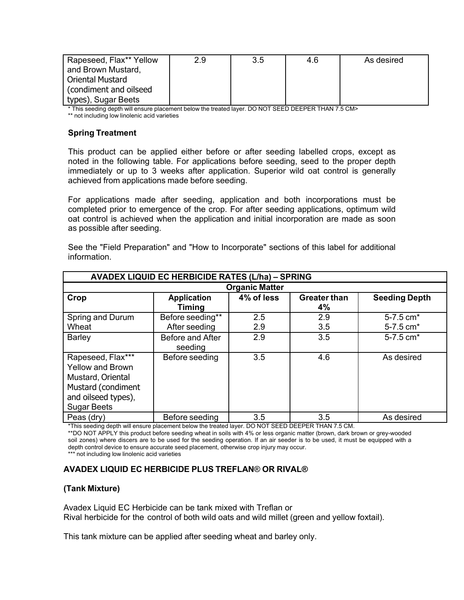| Rapeseed, Flax** Yellow | 2.9 | 3.5 | 4.6 | As desired |
|-------------------------|-----|-----|-----|------------|
| and Brown Mustard,      |     |     |     |            |
| <b>Oriental Mustard</b> |     |     |     |            |
| (condiment and oilseed) |     |     |     |            |
| types), Sugar Beets     |     |     |     |            |

\* This seeding depth will ensure placement below the treated layer. DO NOT SEED DEEPER THAN 7.5 CM>

\*\* not including low linolenic acid varieties

## **Spring Treatment**

This product can be applied either before or after seeding labelled crops, except as noted in the following table. For applications before seeding, seed to the proper depth immediately or up to 3 weeks after application. Superior wild oat control is generally achieved from applications made before seeding.

For applications made after seeding, application and both incorporations must be completed prior to emergence of the crop. For after seeding applications, optimum wild oat control is achieved when the application and initial incorporation are made as soon as possible after seeding.

See the "Field Preparation" and "How to Incorporate" sections of this label for additional information.

| <b>AVADEX LIQUID EC HERBICIDE RATES (L/ha) - SPRING</b>                                                                              |                                   |            |                           |                        |
|--------------------------------------------------------------------------------------------------------------------------------------|-----------------------------------|------------|---------------------------|------------------------|
| <b>Organic Matter</b>                                                                                                                |                                   |            |                           |                        |
| Crop                                                                                                                                 | <b>Application</b><br>Timing      | 4% of less | <b>Greater than</b><br>4% | <b>Seeding Depth</b>   |
| Spring and Durum<br>Wheat                                                                                                            | Before seeding**<br>After seeding | 2.5<br>2.9 | 2.9<br>3.5                | 5-7.5 cm*<br>5-7.5 cm* |
| <b>Barley</b>                                                                                                                        | Before and After<br>seeding       | 2.9        | 3.5                       | 5-7.5 cm*              |
| Rapeseed, Flax***<br><b>Yellow and Brown</b><br>Mustard, Oriental<br>Mustard (condiment<br>and oilseed types),<br><b>Sugar Beets</b> | Before seeding                    | 3.5        | 4.6                       | As desired             |
| Peas (dry)                                                                                                                           | Before seeding                    | 3.5        | 3.5                       | As desired             |

\*This seeding depth will ensure placement below the treated layer. DO NOT SEED DEEPER THAN 7.5 CM.

\*\*DO NOT APPLY this product before seeding wheat in soils with 4% or less organic matter (brown, dark brown or grey-wooded soil zones) where discers are to be used for the seeding operation. If an air seeder is to be used, it must be equipped with a depth control device to ensure accurate seed placement, otherwise crop injury may occur.

\*\*\* not including low linolenic acid varieties

## **AVADEX LIQUID EC HERBICIDE PLUS TREFLAN**® **OR RIVAL®**

### **(Tank Mixture)**

Avadex Liquid EC Herbicide can be tank mixed with Treflan or Rival herbicide for the control of both wild oats and wild millet (green and yellow foxtail).

This tank mixture can be applied after seeding wheat and barley only.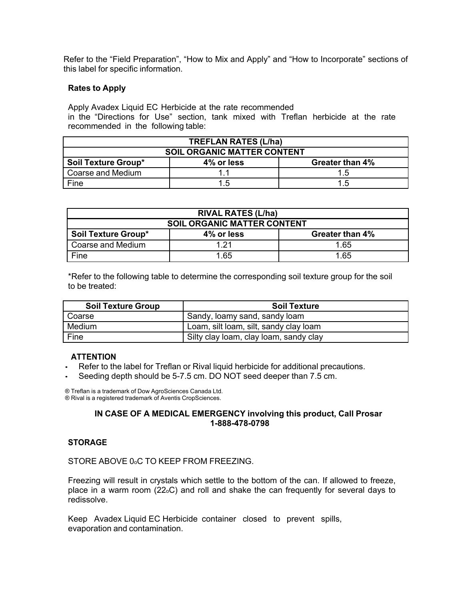Refer to the "Field Preparation", "How to Mix and Apply" and "How to Incorporate" sections of this label for specific information.

### **Rates to Apply**

Apply Avadex Liquid EC Herbicide at the rate recommended in the "Directions for Use" section, tank mixed with Treflan herbicide at the rate recommended in the following table:

| <b>TREFLAN RATES (L/ha)</b>                                 |     |     |  |  |
|-------------------------------------------------------------|-----|-----|--|--|
| <b>SOIL ORGANIC MATTER CONTENT</b>                          |     |     |  |  |
| <b>Soil Texture Group*</b><br>4% or less<br>Greater than 4% |     |     |  |  |
| Coarse and Medium                                           |     | 1.5 |  |  |
| Fine                                                        | 1 5 | 1.5 |  |  |

| <b>RIVAL RATES (L/ha)</b>          |                               |      |  |  |
|------------------------------------|-------------------------------|------|--|--|
| <b>SOIL ORGANIC MATTER CONTENT</b> |                               |      |  |  |
| Soil Texture Group*                | 4% or less<br>Greater than 4% |      |  |  |
| Coarse and Medium                  | 1 21                          | 1.65 |  |  |
| Fine                               | 1.65                          | 1.65 |  |  |

\*Refer to the following table to determine the corresponding soil texture group for the soil to be treated:

| <b>Soil Texture Group</b> | <b>Soil Texture</b>                    |
|---------------------------|----------------------------------------|
| Coarse                    | Sandy, loamy sand, sandy loam          |
| Medium                    | Loam, silt loam, silt, sandy clay loam |
| Fine                      | Silty clay loam, clay loam, sandy clay |

## **ATTENTION**

- Refer to the label for Treflan or Rival liquid herbicide for additional precautions.
- Seeding depth should be 5-7.5 cm. DO NOT seed deeper than 7.5 cm.

® Treflan is a trademark of Dow AgroSciences Canada Ltd. ® Rival is a registered trademark of Aventis CropSciences.

### **IN CASE OF A MEDICAL EMERGENCY involving this product, Call Prosar 1-888-478-0798**

### **STORAGE**

STORE ABOVE 0.C TO KEEP FROM FREEZING.

Freezing will result in crystals which settle to the bottom of the can. If allowed to freeze, place in a warm room (22oC) and roll and shake the can frequently for several days to redissolve.

Keep Avadex Liquid EC Herbicide container closed to prevent spills, evaporation and contamination.